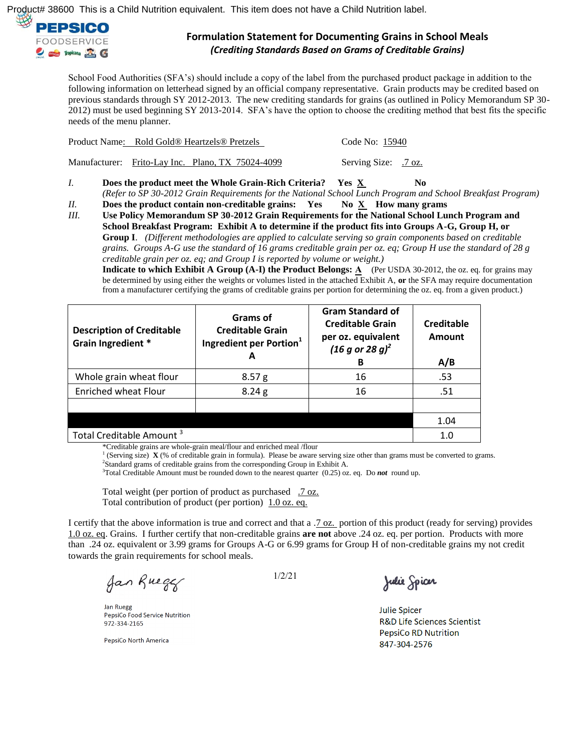

School Food Authorities (SFA's) should include a copy of the label from the purchased product package in addition to the following information on letterhead signed by an official company representative. Grain products may be credited based on previous standards through SY 2012-2013. The new crediting standards for grains (as outlined in Policy Memorandum SP 30- 2012) must be used beginning SY 2013-2014. SFA's have the option to choose the crediting method that best fits the specific needs of the menu planner.

| Product Name: Rold Gold® Heartzels® Pretzels      | Code No: 15940       |
|---------------------------------------------------|----------------------|
| Manufacturer: Frito-Lay Inc. Plano, TX 75024-4099 | Serving Size: .7 oz. |

- *I.* **Does the product meet the Whole Grain-Rich Criteria?** Yes X No *(Refer to SP 30-2012 Grain Requirements for the National School Lunch Program and School Breakfast Program)*
- *II.* **Does the product contain non-creditable grains:** Yes No X How many grams

*III.* **Use Policy Memorandum SP 30-2012 Grain Requirements for the National School Lunch Program and School Breakfast Program: Exhibit A to determine if the product fits into Groups A-G, Group H, or Group I**. *(Different methodologies are applied to calculate serving so grain components based on creditable grains. Groups A-G use the standard of 16 grams creditable grain per oz. eq; Group H use the standard of 28 g creditable grain per oz. eq; and Group I is reported by volume or weight.)*

**Indicate to which Exhibit A Group (A-I) the Product Belongs: A (Per USDA 30-2012, the oz. eq. for grains may** be determined by using either the weights or volumes listed in the attached Exhibit A, **or** the SFA may require documentation from a manufacturer certifying the grams of creditable grains per portion for determining the oz. eq. from a given product.)

| <b>Description of Creditable</b><br>Grain Ingredient * | Grams of<br><b>Creditable Grain</b><br>Ingredient per Portion <sup>1</sup> | <b>Gram Standard of</b><br><b>Creditable Grain</b><br>per oz. equivalent<br>$(16 g or 28 g)^2$<br>в | Creditable<br><b>Amount</b><br>A/B |
|--------------------------------------------------------|----------------------------------------------------------------------------|-----------------------------------------------------------------------------------------------------|------------------------------------|
| Whole grain wheat flour                                | 8.57 <sub>g</sub>                                                          | 16                                                                                                  | .53                                |
| <b>Enriched wheat Flour</b>                            | 8.24 g                                                                     | 16                                                                                                  | .51                                |
|                                                        |                                                                            |                                                                                                     |                                    |
|                                                        |                                                                            |                                                                                                     | 1.04                               |
| Total Creditable Amount <sup>3</sup>                   | 1.0                                                                        |                                                                                                     |                                    |

\*Creditable grains are whole-grain meal/flour and enriched meal /flour

1 (Serving size) **X** (% of creditable grain in formula). Please be aware serving size other than grams must be converted to grams. <sup>2</sup>Standard grams of creditable grains from the corresponding Group in Exhibit A.

<sup>3</sup>Total Creditable Amount must be rounded down to the nearest quarter (0.25) oz. eq. Do *not* round up.

Total weight (per portion of product as purchased .7 oz. Total contribution of product (per portion) 1.0 oz. eq.

I certify that the above information is true and correct and that a .7 oz. portion of this product (ready for serving) provides 1.0 oz. eq. Grains. I further certify that non-creditable grains **are not** above .24 oz. eq. per portion. Products with more than .24 oz. equivalent or 3.99 grams for Groups A-G or 6.99 grams for Group H of non-creditable grains my not credit towards the grain requirements for school meals.

Jan Ruegy

Jan Ruegg PepsiCo Food Service Nutrition 972-334-2165

PepsiCo North America

1/2/21

Julie Spicer

**Julie Spicer R&D Life Sciences Scientist PepsiCo RD Nutrition** 847-304-2576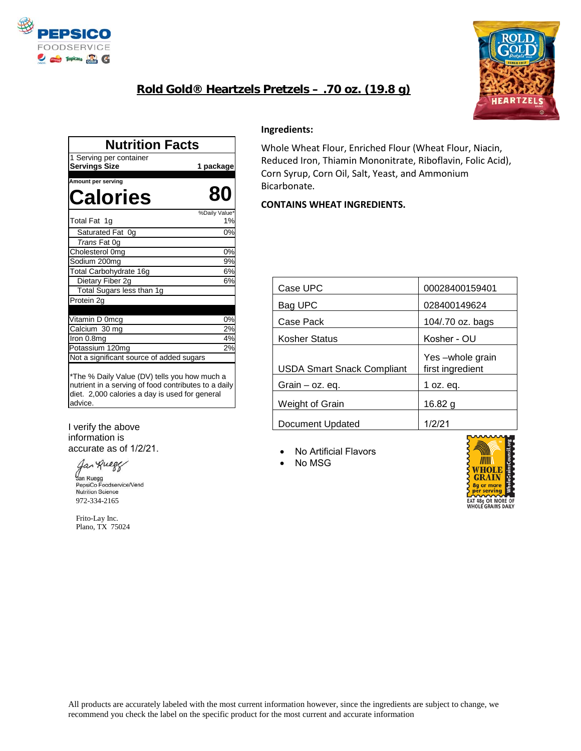

## **Rold Gold® Heartzels Pretzels – .70 oz. (19.8 g)**



| 1 Serving per container<br><b>Servings Size</b>                                                                                                                   | 1 package           |
|-------------------------------------------------------------------------------------------------------------------------------------------------------------------|---------------------|
| Amount per serving                                                                                                                                                |                     |
| Calories                                                                                                                                                          | 80                  |
| Total Fat 1g                                                                                                                                                      | %Daily Value*<br>1% |
| Saturated Fat 0g                                                                                                                                                  | 0%                  |
| Trans Fat 0g                                                                                                                                                      |                     |
| Cholesterol 0mg                                                                                                                                                   | 0%                  |
| Sodium 200mg                                                                                                                                                      | 9%                  |
| Total Carbohydrate 16g                                                                                                                                            | 6%                  |
| Dietary Fiber 2g                                                                                                                                                  | 6%                  |
| Total Sugars less than 1g                                                                                                                                         |                     |
| Protein 2g                                                                                                                                                        |                     |
| Vitamin D 0mcg                                                                                                                                                    | 0%                  |
| Calcium 30 mg                                                                                                                                                     | 2%                  |
| Iron 0.8mg                                                                                                                                                        | 4%                  |
| Potassium 120mg                                                                                                                                                   | 2%                  |
| Not a significant source of added sugars                                                                                                                          |                     |
| *The % Daily Value (DV) tells you how much a<br>nutrient in a serving of food contributes to a daily<br>diet. 2,000 calories a day is used for general<br>advice. |                     |

#### I verify the above information is accurate as of 1/2/21.

Jan Ruege

Jan Ruegg<br>PepsiCo Fo PepsiCo Foodservice/Vend<br>Nutrition Science 972-334-2165

 Frito-Lay Inc. Plano, TX 75024

#### **Ingredients:**

Whole Wheat Flour, Enriched Flour (Wheat Flour, Niacin, Reduced Iron, Thiamin Mononitrate, Riboflavin, Folic Acid), Corn Syrup, Corn Oil, Salt, Yeast, and Ammonium Bicarbonate**.**

### **CONTAINS WHEAT INGREDIENTS.**

| Case UPC                          | 00028400159401                      |
|-----------------------------------|-------------------------------------|
| Bag UPC                           | 028400149624                        |
| Case Pack                         | 104/.70 oz. bags                    |
| <b>Kosher Status</b>              | Kosher - OU                         |
| <b>USDA Smart Snack Compliant</b> | Yes-whole grain<br>first ingredient |
| Grain – oz. eq.                   | 1 oz. eg.                           |
| Weight of Grain                   | 16.82 a                             |
| <b>Document Updated</b>           | 1/2/21                              |

No Artificial Flavors

• No MSG